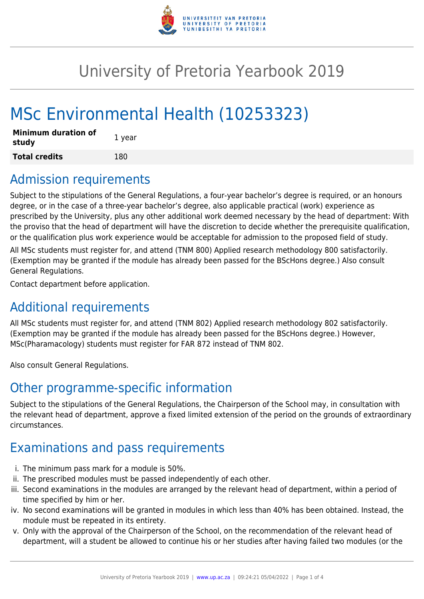

# University of Pretoria Yearbook 2019

# MSc Environmental Health (10253323)

| <b>Minimum duration of</b><br>study | 1 year |
|-------------------------------------|--------|
| <b>Total credits</b>                | 180    |

# Admission requirements

Subject to the stipulations of the General Regulations, a four-year bachelor's degree is required, or an honours degree, or in the case of a three-year bachelor's degree, also applicable practical (work) experience as prescribed by the University, plus any other additional work deemed necessary by the head of department: With the proviso that the head of department will have the discretion to decide whether the prerequisite qualification, or the qualification plus work experience would be acceptable for admission to the proposed field of study.

All MSc students must register for, and attend (TNM 800) Applied research methodology 800 satisfactorily. (Exemption may be granted if the module has already been passed for the BScHons degree.) Also consult General Regulations.

Contact department before application.

# Additional requirements

All MSc students must register for, and attend (TNM 802) Applied research methodology 802 satisfactorily. (Exemption may be granted if the module has already been passed for the BScHons degree.) However, MSc(Pharamacology) students must register for FAR 872 instead of TNM 802.

Also consult General Regulations.

# Other programme-specific information

Subject to the stipulations of the General Regulations, the Chairperson of the School may, in consultation with the relevant head of department, approve a fixed limited extension of the period on the grounds of extraordinary circumstances.

# Examinations and pass requirements

- i. The minimum pass mark for a module is 50%.
- ii. The prescribed modules must be passed independently of each other.
- iii. Second examinations in the modules are arranged by the relevant head of department, within a period of time specified by him or her.
- iv. No second examinations will be granted in modules in which less than 40% has been obtained. Instead, the module must be repeated in its entirety.
- v. Only with the approval of the Chairperson of the School, on the recommendation of the relevant head of department, will a student be allowed to continue his or her studies after having failed two modules (or the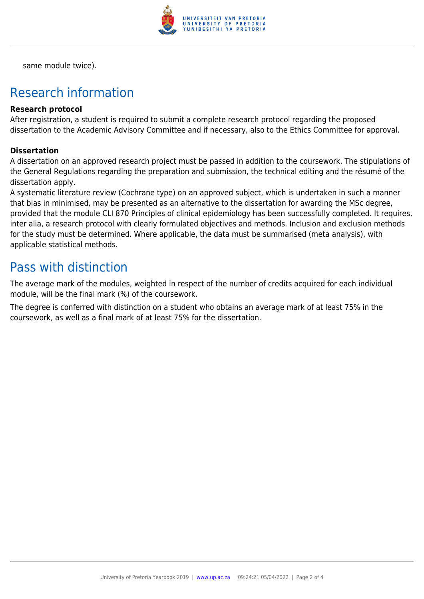

same module twice).

# Research information

### **Research protocol**

After registration, a student is required to submit a complete research protocol regarding the proposed dissertation to the Academic Advisory Committee and if necessary, also to the Ethics Committee for approval.

### **Dissertation**

A dissertation on an approved research project must be passed in addition to the coursework. The stipulations of the General Regulations regarding the preparation and submission, the technical editing and the résumé of the dissertation apply.

A systematic literature review (Cochrane type) on an approved subject, which is undertaken in such a manner that bias in minimised, may be presented as an alternative to the dissertation for awarding the MSc degree, provided that the module CLI 870 Principles of clinical epidemiology has been successfully completed. It requires, inter alia, a research protocol with clearly formulated objectives and methods. Inclusion and exclusion methods for the study must be determined. Where applicable, the data must be summarised (meta analysis), with applicable statistical methods.

### Pass with distinction

The average mark of the modules, weighted in respect of the number of credits acquired for each individual module, will be the final mark (%) of the coursework.

The degree is conferred with distinction on a student who obtains an average mark of at least 75% in the coursework, as well as a final mark of at least 75% for the dissertation.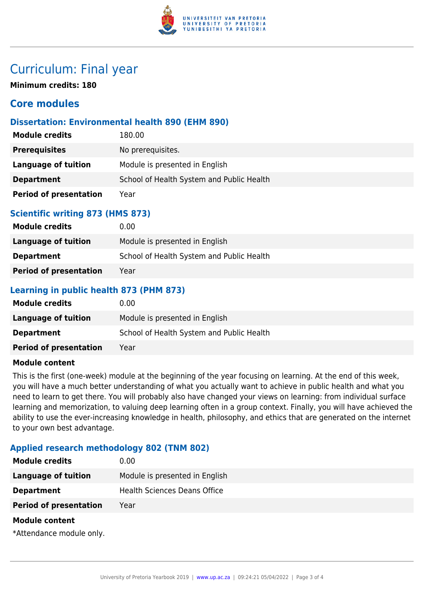

# Curriculum: Final year

**Minimum credits: 180**

### **Core modules**

### **Dissertation: Environmental health 890 (EHM 890)**

| <b>Module credits</b>         | 180.00                                    |
|-------------------------------|-------------------------------------------|
| <b>Prerequisites</b>          | No prerequisites.                         |
| Language of tuition           | Module is presented in English            |
| <b>Department</b>             | School of Health System and Public Health |
| <b>Period of presentation</b> | Year                                      |

### **Scientific writing 873 (HMS 873)**

| <b>Module credits</b>         | 0.00                                      |
|-------------------------------|-------------------------------------------|
| Language of tuition           | Module is presented in English            |
| <b>Department</b>             | School of Health System and Public Health |
| <b>Period of presentation</b> | Year                                      |

### **Learning in public health 873 (PHM 873)**

| <b>Module credits</b>         | 0.00                                      |
|-------------------------------|-------------------------------------------|
| Language of tuition           | Module is presented in English            |
| <b>Department</b>             | School of Health System and Public Health |
| <b>Period of presentation</b> | Year                                      |

### **Module content**

This is the first (one-week) module at the beginning of the year focusing on learning. At the end of this week, you will have a much better understanding of what you actually want to achieve in public health and what you need to learn to get there. You will probably also have changed your views on learning: from individual surface learning and memorization, to valuing deep learning often in a group context. Finally, you will have achieved the ability to use the ever-increasing knowledge in health, philosophy, and ethics that are generated on the internet to your own best advantage.

### **Applied research methodology 802 (TNM 802)**

| <b>Module credits</b>                                                                                                                                                                                                           | 0.00                                |
|---------------------------------------------------------------------------------------------------------------------------------------------------------------------------------------------------------------------------------|-------------------------------------|
| Language of tuition                                                                                                                                                                                                             | Module is presented in English      |
| <b>Department</b>                                                                                                                                                                                                               | <b>Health Sciences Deans Office</b> |
| <b>Period of presentation</b>                                                                                                                                                                                                   | Year                                |
| <b>Module content</b>                                                                                                                                                                                                           |                                     |
| $\sim$ . The set of the set of the set of the set of the set of the set of the set of the set of the set of the set of the set of the set of the set of the set of the set of the set of the set of the set of the set of the s |                                     |

\*Attendance module only.